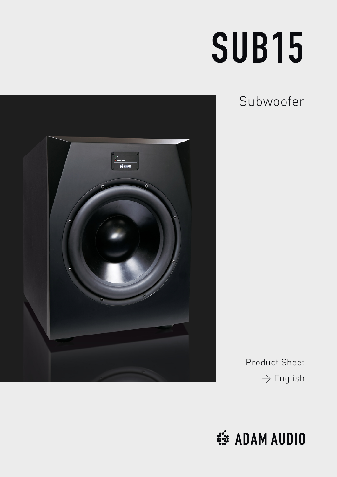# SUB15

Subwoofer



Product Sheet  $\rightarrow$  English